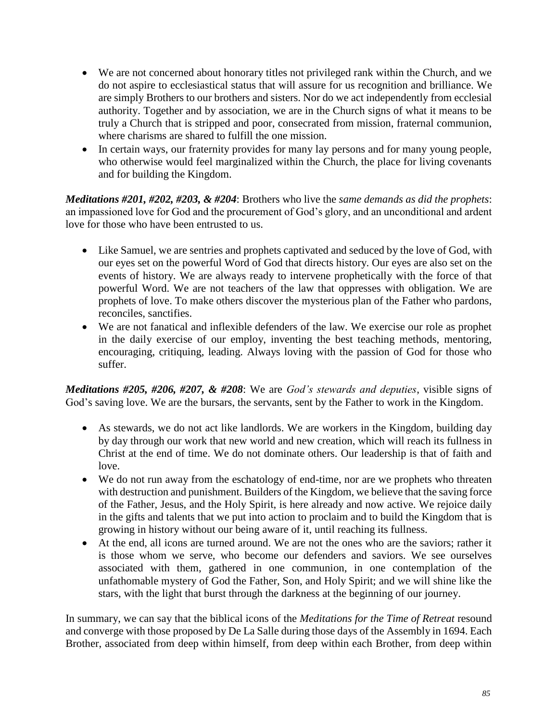- We are not concerned about honorary titles not privileged rank within the Church, and we do not aspire to ecclesiastical status that will assure for us recognition and brilliance. We are simply Brothers to our brothers and sisters. Nor do we act independently from ecclesial authority. Together and by association, we are in the Church signs of what it means to be truly a Church that is stripped and poor, consecrated from mission, fraternal communion, where charisms are shared to fulfill the one mission.
- In certain ways, our fraternity provides for many lay persons and for many young people, who otherwise would feel marginalized within the Church, the place for living covenants and for building the Kingdom.

*Meditations #201, #202, #203, & #204*: Brothers who live the *same demands as did the prophets*: an impassioned love for God and the procurement of God's glory, and an unconditional and ardent love for those who have been entrusted to us.

- Like Samuel, we are sentries and prophets captivated and seduced by the love of God, with our eyes set on the powerful Word of God that directs history. Our eyes are also set on the events of history. We are always ready to intervene prophetically with the force of that powerful Word. We are not teachers of the law that oppresses with obligation. We are prophets of love. To make others discover the mysterious plan of the Father who pardons, reconciles, sanctifies.
- We are not fanatical and inflexible defenders of the law. We exercise our role as prophet in the daily exercise of our employ, inventing the best teaching methods, mentoring, encouraging, critiquing, leading. Always loving with the passion of God for those who suffer.

*Meditations #205, #206, #207, & #208*: We are *God's stewards and deputies*, visible signs of God's saving love. We are the bursars, the servants, sent by the Father to work in the Kingdom.

- As stewards, we do not act like landlords. We are workers in the Kingdom, building day by day through our work that new world and new creation, which will reach its fullness in Christ at the end of time. We do not dominate others. Our leadership is that of faith and love.
- We do not run away from the eschatology of end-time, nor are we prophets who threaten with destruction and punishment. Builders of the Kingdom, we believe that the saving force of the Father, Jesus, and the Holy Spirit, is here already and now active. We rejoice daily in the gifts and talents that we put into action to proclaim and to build the Kingdom that is growing in history without our being aware of it, until reaching its fullness.
- At the end, all icons are turned around. We are not the ones who are the saviors; rather it is those whom we serve, who become our defenders and saviors. We see ourselves associated with them, gathered in one communion, in one contemplation of the unfathomable mystery of God the Father, Son, and Holy Spirit; and we will shine like the stars, with the light that burst through the darkness at the beginning of our journey.

In summary, we can say that the biblical icons of the *Meditations for the Time of Retreat* resound and converge with those proposed by De La Salle during those days of the Assembly in 1694. Each Brother, associated from deep within himself, from deep within each Brother, from deep within